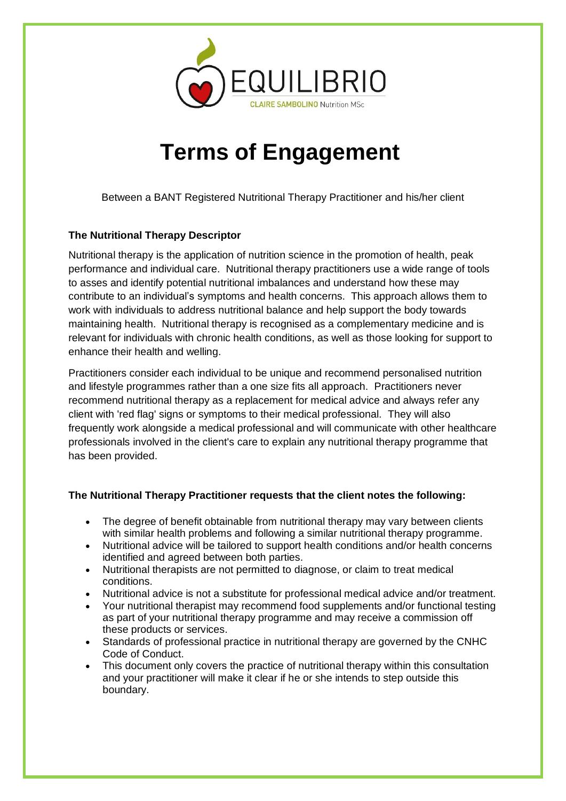

## **Terms of Engagement**

Between a BANT Registered Nutritional Therapy Practitioner and his/her client

## **The Nutritional Therapy Descriptor**

Nutritional therapy is the application of nutrition science in the promotion of health, peak performance and individual care. Nutritional therapy practitioners use a wide range of tools to asses and identify potential nutritional imbalances and understand how these may contribute to an individual's symptoms and health concerns. This approach allows them to work with individuals to address nutritional balance and help support the body towards maintaining health. Nutritional therapy is recognised as a complementary medicine and is relevant for individuals with chronic health conditions, as well as those looking for support to enhance their health and welling.

Practitioners consider each individual to be unique and recommend personalised nutrition and lifestyle programmes rather than a one size fits all approach. Practitioners never recommend nutritional therapy as a replacement for medical advice and always refer any client with 'red flag' signs or symptoms to their medical professional. They will also frequently work alongside a medical professional and will communicate with other healthcare professionals involved in the client's care to explain any nutritional therapy programme that has been provided.

## **The Nutritional Therapy Practitioner requests that the client notes the following:**

- The degree of benefit obtainable from nutritional therapy may vary between clients with similar health problems and following a similar nutritional therapy programme.
- Nutritional advice will be tailored to support health conditions and/or health concerns identified and agreed between both parties.
- Nutritional therapists are not permitted to diagnose, or claim to treat medical conditions.
- Nutritional advice is not a substitute for professional medical advice and/or treatment.
- Your nutritional therapist may recommend food supplements and/or functional testing as part of your nutritional therapy programme and may receive a commission off these products or services.
- Standards of professional practice in nutritional therapy are governed by the CNHC Code of Conduct.
- This document only covers the practice of nutritional therapy within this consultation and your practitioner will make it clear if he or she intends to step outside this boundary.